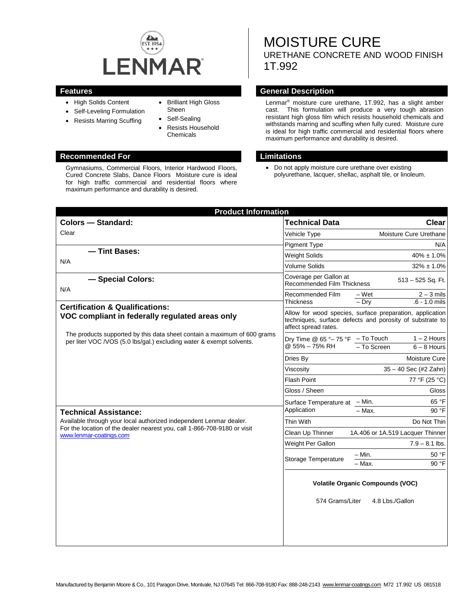

- High Solids Content
- Self-Leveling Formulation
- Resists Marring Scuffing
- Brilliant High Gloss Sheen
- Self-Sealing
- Resists Household Chemicals

#### **Recommended For Limitations**

Gymnasiums, Commercial Floors, Interior Hardwood Floors, Cured Concrete Slabs, Dance Floors Moisture cure is ideal for high traffic commercial and residential floors where maximum performance and durability is desired.

# MOISTURE CURE URETHANE CONCRETE AND WOOD FINISH 1T.992

#### **Features General Description**

Lenmar® moisture cure urethane, 1T.992, has a slight amber cast. This formulation will produce a very tough abrasion resistant high gloss film which resists household chemicals and withstands marring and scuffing when fully cured. Moisture cure is ideal for high traffic commercial and residential floors where maximum performance and durability is desired.

• Do not apply moisture cure urethane over existing polyurethane, lacquer, shellac, asphalt tile, or linoleum.

| <b>Product Information</b>                                                                                                                                                                                |                                                                                                                                              |                                                     |
|-----------------------------------------------------------------------------------------------------------------------------------------------------------------------------------------------------------|----------------------------------------------------------------------------------------------------------------------------------------------|-----------------------------------------------------|
| <b>Colors - Standard:</b>                                                                                                                                                                                 | <b>Technical Data</b>                                                                                                                        | <b>Clear</b>                                        |
| Clear                                                                                                                                                                                                     | Vehicle Type                                                                                                                                 | Moisture Cure Urethane                              |
|                                                                                                                                                                                                           | <b>Pigment Type</b>                                                                                                                          | N/A                                                 |
| - Tint Bases:<br>N/A                                                                                                                                                                                      | <b>Weight Solids</b>                                                                                                                         | $40\% \pm 1.0\%$                                    |
|                                                                                                                                                                                                           | Volume Solids                                                                                                                                | $32\% \pm 1.0\%$                                    |
| - Special Colors:                                                                                                                                                                                         | Coverage per Gallon at<br>513 - 525 Sq. Ft.<br><b>Recommended Film Thickness</b>                                                             |                                                     |
| N/A                                                                                                                                                                                                       | Recommended Film<br><b>Thickness</b>                                                                                                         | $2 - 3$ mils<br>– Wet<br>$.6 - 1.0$ mils<br>$-$ Dry |
| <b>Certification &amp; Qualifications:</b><br>VOC compliant in federally regulated areas only                                                                                                             | Allow for wood species, surface preparation, application<br>techniques, surface defects and porosity of substrate to<br>affect spread rates. |                                                     |
| The products supported by this data sheet contain a maximum of 600 grams<br>per liter VOC /VOS (5.0 lbs/gal.) excluding water & exempt solvents.                                                          | Dry Time @ $65^\circ - 75^\circ F$ - To Touch<br>@ 55% - 75% RH                                                                              | $1 - 2$ Hours<br>$6 - 8$ Hours<br>- To Screen       |
|                                                                                                                                                                                                           | Dries By                                                                                                                                     | Moisture Cure                                       |
|                                                                                                                                                                                                           | Viscosity                                                                                                                                    | 35 - 40 Sec (#2 Zahn)                               |
|                                                                                                                                                                                                           | Flash Point                                                                                                                                  | 77 °F (25 °C)                                       |
|                                                                                                                                                                                                           | Gloss / Sheen                                                                                                                                | Gloss                                               |
|                                                                                                                                                                                                           | Surface Temperature at - Min.<br>Application                                                                                                 | 65 °F                                               |
| <b>Technical Assistance:</b><br>Available through your local authorized independent Lenmar dealer.<br>For the location of the dealer nearest you, call 1-866-708-9180 or visit<br>www.lenmar-coatings.com |                                                                                                                                              | $90°$ F<br>$-$ Max.                                 |
|                                                                                                                                                                                                           | Thin With                                                                                                                                    | Do Not Thin                                         |
|                                                                                                                                                                                                           | Clean Up Thinner                                                                                                                             | 1A.406 or 1A.519 Lacquer Thinner                    |
|                                                                                                                                                                                                           | Weight Per Gallon                                                                                                                            | $7.9 - 8.1$ lbs.                                    |
|                                                                                                                                                                                                           | Storage Temperature                                                                                                                          | $- Min.$<br>50 °F                                   |
|                                                                                                                                                                                                           |                                                                                                                                              | 90 °F<br>- Max.                                     |
|                                                                                                                                                                                                           | <b>Volatile Organic Compounds (VOC)</b>                                                                                                      |                                                     |
|                                                                                                                                                                                                           | 574 Grams/Liter                                                                                                                              | 4.8 Lbs./Gallon                                     |
|                                                                                                                                                                                                           |                                                                                                                                              |                                                     |